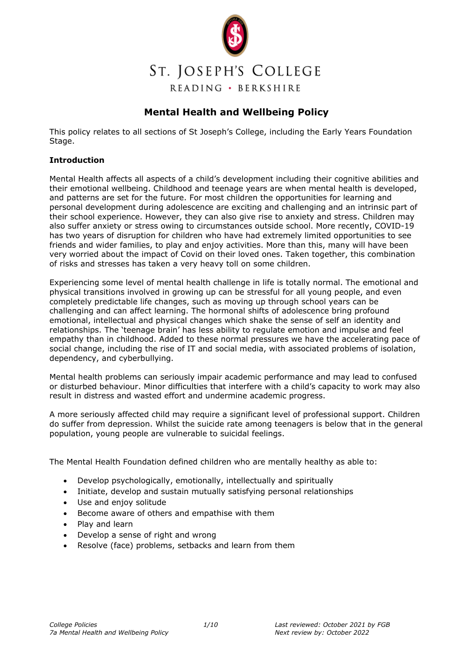

# **Mental Health and Wellbeing Policy**

This policy relates to all sections of St Joseph's College, including the Early Years Foundation Stage.

# **Introduction**

Mental Health affects all aspects of a child's development including their cognitive abilities and their emotional wellbeing. Childhood and teenage years are when mental health is developed, and patterns are set for the future. For most children the opportunities for learning and personal development during adolescence are exciting and challenging and an intrinsic part of their school experience. However, they can also give rise to anxiety and stress. Children may also suffer anxiety or stress owing to circumstances outside school. More recently, COVID-19 has two years of disruption for children who have had extremely limited opportunities to see friends and wider families, to play and enjoy activities. More than this, many will have been very worried about the impact of Covid on their loved ones. Taken together, this combination of risks and stresses has taken a very heavy toll on some children.

Experiencing some level of mental health challenge in life is totally normal. The emotional and physical transitions involved in growing up can be stressful for all young people, and even completely predictable life changes, such as moving up through school years can be challenging and can affect learning. The hormonal shifts of adolescence bring profound emotional, intellectual and physical changes which shake the sense of self an identity and relationships. The 'teenage brain' has less ability to regulate emotion and impulse and feel empathy than in childhood. Added to these normal pressures we have the accelerating pace of social change, including the rise of IT and social media, with associated problems of isolation, dependency, and cyberbullying.

Mental health problems can seriously impair academic performance and may lead to confused or disturbed behaviour. Minor difficulties that interfere with a child's capacity to work may also result in distress and wasted effort and undermine academic progress.

A more seriously affected child may require a significant level of professional support. Children do suffer from depression. Whilst the suicide rate among teenagers is below that in the general population, young people are vulnerable to suicidal feelings.

The Mental Health Foundation defined children who are mentally healthy as able to:

- Develop psychologically, emotionally, intellectually and spiritually
- Initiate, develop and sustain mutually satisfying personal relationships
- Use and enjoy solitude
- Become aware of others and empathise with them
- Play and learn
- Develop a sense of right and wrong
- Resolve (face) problems, setbacks and learn from them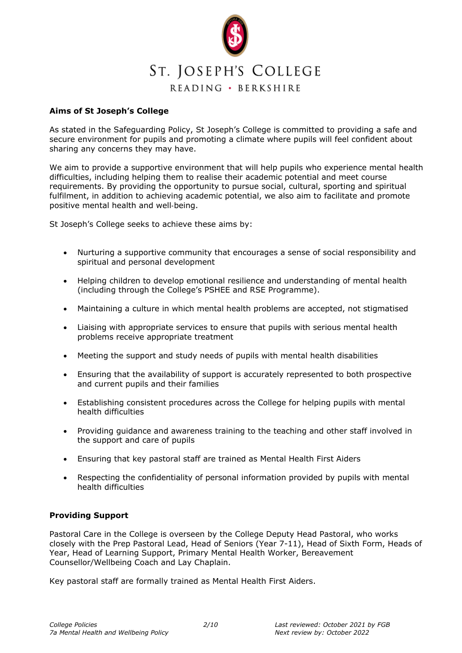

## **Aims of St Joseph's College**

As stated in the Safeguarding Policy, St Joseph's College is committed to providing a safe and secure environment for pupils and promoting a climate where pupils will feel confident about sharing any concerns they may have.

We aim to provide a supportive environment that will help pupils who experience mental health difficulties, including helping them to realise their academic potential and meet course requirements. By providing the opportunity to pursue social, cultural, sporting and spiritual fulfilment, in addition to achieving academic potential, we also aim to facilitate and promote positive mental health and well‐being.

St Joseph's College seeks to achieve these aims by:

- Nurturing a supportive community that encourages a sense of social responsibility and spiritual and personal development
- Helping children to develop emotional resilience and understanding of mental health (including through the College's PSHEE and RSE Programme).
- Maintaining a culture in which mental health problems are accepted, not stigmatised
- Liaising with appropriate services to ensure that pupils with serious mental health problems receive appropriate treatment
- Meeting the support and study needs of pupils with mental health disabilities
- Ensuring that the availability of support is accurately represented to both prospective and current pupils and their families
- Establishing consistent procedures across the College for helping pupils with mental health difficulties
- Providing guidance and awareness training to the teaching and other staff involved in the support and care of pupils
- Ensuring that key pastoral staff are trained as Mental Health First Aiders
- Respecting the confidentiality of personal information provided by pupils with mental health difficulties

# **Providing Support**

Pastoral Care in the College is overseen by the College Deputy Head Pastoral, who works closely with the Prep Pastoral Lead, Head of Seniors (Year 7-11), Head of Sixth Form, Heads of Year, Head of Learning Support, Primary Mental Health Worker, Bereavement Counsellor/Wellbeing Coach and Lay Chaplain.

Key pastoral staff are formally trained as Mental Health First Aiders.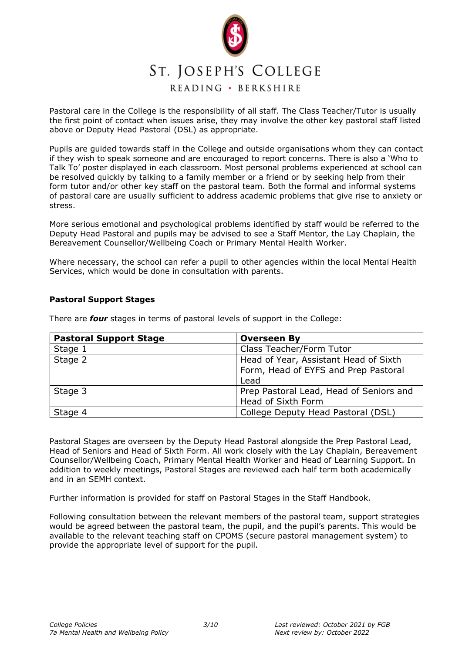

Pastoral care in the College is the responsibility of all staff. The Class Teacher/Tutor is usually the first point of contact when issues arise, they may involve the other key pastoral staff listed above or Deputy Head Pastoral (DSL) as appropriate.

Pupils are guided towards staff in the College and outside organisations whom they can contact if they wish to speak someone and are encouraged to report concerns. There is also a 'Who to Talk To' poster displayed in each classroom. Most personal problems experienced at school can be resolved quickly by talking to a family member or a friend or by seeking help from their form tutor and/or other key staff on the pastoral team. Both the formal and informal systems of pastoral care are usually sufficient to address academic problems that give rise to anxiety or stress.

More serious emotional and psychological problems identified by staff would be referred to the Deputy Head Pastoral and pupils may be advised to see a Staff Mentor, the Lay Chaplain, the Bereavement Counsellor/Wellbeing Coach or Primary Mental Health Worker.

Where necessary, the school can refer a pupil to other agencies within the local Mental Health Services, which would be done in consultation with parents.

# **Pastoral Support Stages**

There are *four* stages in terms of pastoral levels of support in the College:

| <b>Pastoral Support Stage</b> | <b>Overseen By</b>                      |
|-------------------------------|-----------------------------------------|
| Stage 1                       | Class Teacher/Form Tutor                |
| Stage 2                       | Head of Year, Assistant Head of Sixth   |
|                               | Form, Head of EYFS and Prep Pastoral    |
|                               | Lead                                    |
| Stage 3                       | Prep Pastoral Lead, Head of Seniors and |
|                               | Head of Sixth Form                      |
| Stage 4                       | College Deputy Head Pastoral (DSL)      |

Pastoral Stages are overseen by the Deputy Head Pastoral alongside the Prep Pastoral Lead, Head of Seniors and Head of Sixth Form. All work closely with the Lay Chaplain, Bereavement Counsellor/Wellbeing Coach, Primary Mental Health Worker and Head of Learning Support. In addition to weekly meetings, Pastoral Stages are reviewed each half term both academically and in an SEMH context.

Further information is provided for staff on Pastoral Stages in the Staff Handbook.

Following consultation between the relevant members of the pastoral team, support strategies would be agreed between the pastoral team, the pupil, and the pupil's parents. This would be available to the relevant teaching staff on CPOMS (secure pastoral management system) to provide the appropriate level of support for the pupil.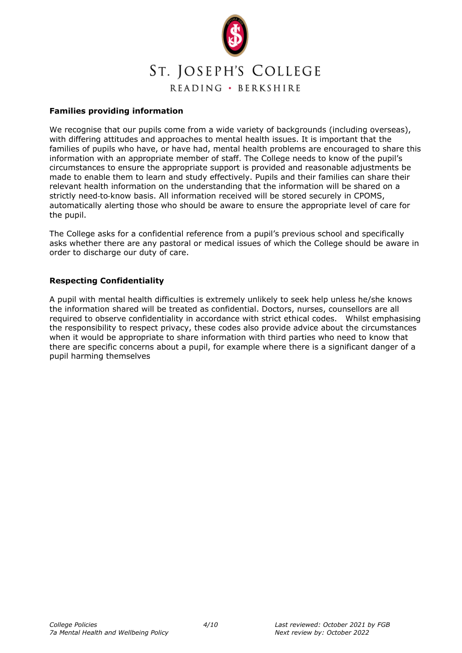

### **Families providing information**

We recognise that our pupils come from a wide variety of backgrounds (including overseas), with differing attitudes and approaches to mental health issues. It is important that the families of pupils who have, or have had, mental health problems are encouraged to share this information with an appropriate member of staff. The College needs to know of the pupil's circumstances to ensure the appropriate support is provided and reasonable adjustments be made to enable them to learn and study effectively. Pupils and their families can share their relevant health information on the understanding that the information will be shared on a strictly need-to-know basis. All information received will be stored securely in CPOMS, automatically alerting those who should be aware to ensure the appropriate level of care for the pupil.

The College asks for a confidential reference from a pupil's previous school and specifically asks whether there are any pastoral or medical issues of which the College should be aware in order to discharge our duty of care.

# **Respecting Confidentiality**

A pupil with mental health difficulties is extremely unlikely to seek help unless he/she knows the information shared will be treated as confidential. Doctors, nurses, counsellors are all required to observe confidentiality in accordance with strict ethical codes. Whilst emphasising the responsibility to respect privacy, these codes also provide advice about the circumstances when it would be appropriate to share information with third parties who need to know that there are specific concerns about a pupil, for example where there is a significant danger of a pupil harming themselves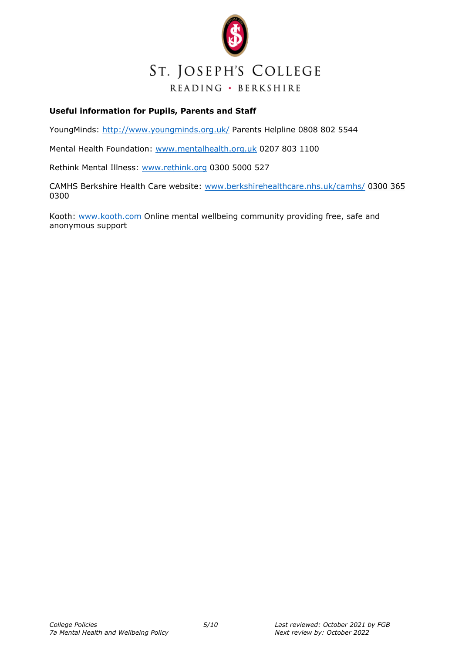

# **Useful information for Pupils, Parents and Staff**

YoungMinds:<http://www.youngminds.org.uk/> Parents Helpline 0808 802 5544

Mental Health Foundation: [www.mentalhealth.org.uk](http://www.mentalhealth.org.uk/) 0207 803 1100

Rethink Mental Illness: [www.rethink.org](http://www.rethink.org/) 0300 5000 527

CAMHS Berkshire Health Care website: [www.berkshirehealthcare.nhs.uk/camhs/](http://www.berkshirehealthcare.nhs.uk/camhs/) 0300 365 0300

Kooth: [www.kooth.com](http://www.kooth.com/) Online mental wellbeing community providing free, safe and anonymous support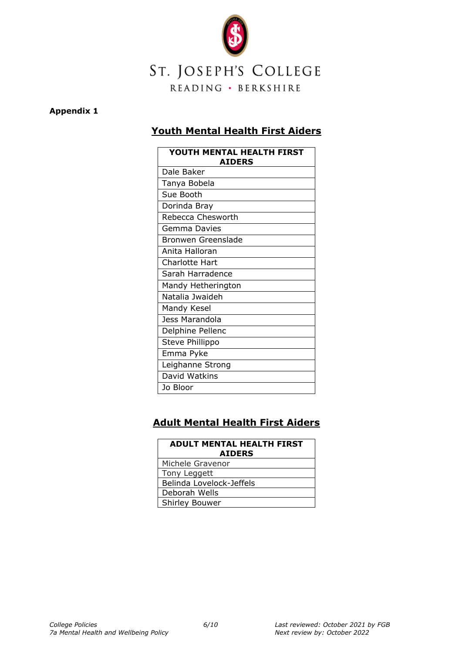

# **Appendix 1**

# **Youth Mental Health First Aiders**

| YOUTH MENTAL HEALTH FIRST<br><b>AIDERS</b> |  |
|--------------------------------------------|--|
| Dale Baker                                 |  |
| Tanya Bobela                               |  |
| Sue Booth                                  |  |
| Dorinda Bray                               |  |
| Rebecca Chesworth                          |  |
| Gemma Davies                               |  |
| <b>Bronwen Greenslade</b>                  |  |
| Anita Halloran                             |  |
| Charlotte Hart                             |  |
| Sarah Harradence                           |  |
| Mandy Hetherington                         |  |
| Natalia Jwaideh                            |  |
| Mandy Kesel                                |  |
| Jess Marandola                             |  |
| Delphine Pellenc                           |  |
| Steve Phillippo                            |  |
| Emma Pyke                                  |  |
| Leighanne Strong                           |  |
| David Watkins                              |  |
| Jo Bloor                                   |  |

# **Adult Mental Health First Aiders**

| <b>ADULT MENTAL HEALTH FIRST</b><br><b>AIDERS</b> |
|---------------------------------------------------|
| Michele Gravenor                                  |
| Tony Leggett                                      |
| Belinda Lovelock-Jeffels                          |
| Deborah Wells                                     |
| <b>Shirley Bouwer</b>                             |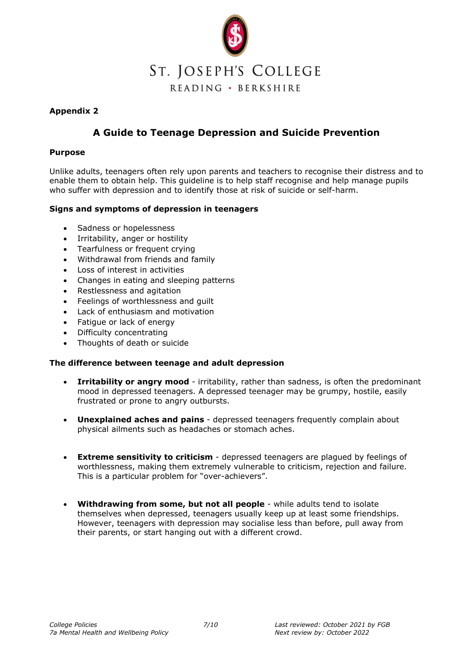

# **Appendix 2**

# **A Guide to Teenage Depression and Suicide Prevention**

# **Purpose**

Unlike adults, teenagers often rely upon parents and teachers to recognise their distress and to enable them to obtain help. This guideline is to help staff recognise and help manage pupils who suffer with depression and to identify those at risk of suicide or self-harm.

# **Signs and symptoms of depression in teenagers**

- Sadness or hopelessness
- Irritability, anger or hostility
- Tearfulness or frequent crying
- Withdrawal from friends and family
- Loss of interest in activities
- Changes in eating and sleeping patterns
- Restlessness and agitation
- Feelings of worthlessness and guilt
- Lack of enthusiasm and motivation
- Fatigue or lack of energy
- Difficulty concentrating
- Thoughts of death or suicide

# **The difference between teenage and adult depression**

- **Irritability or angry mood**  irritability, rather than sadness, is often the predominant mood in depressed teenagers. A depressed teenager may be grumpy, hostile, easily frustrated or prone to angry outbursts.
- **Unexplained aches and pains**  depressed teenagers frequently complain about physical ailments such as headaches or stomach aches.
- **Extreme sensitivity to criticism**  depressed teenagers are plagued by feelings of worthlessness, making them extremely vulnerable to criticism, rejection and failure. This is a particular problem for "over-achievers".
- **Withdrawing from some, but not all people**  while adults tend to isolate themselves when depressed, teenagers usually keep up at least some friendships. However, teenagers with depression may socialise less than before, pull away from their parents, or start hanging out with a different crowd.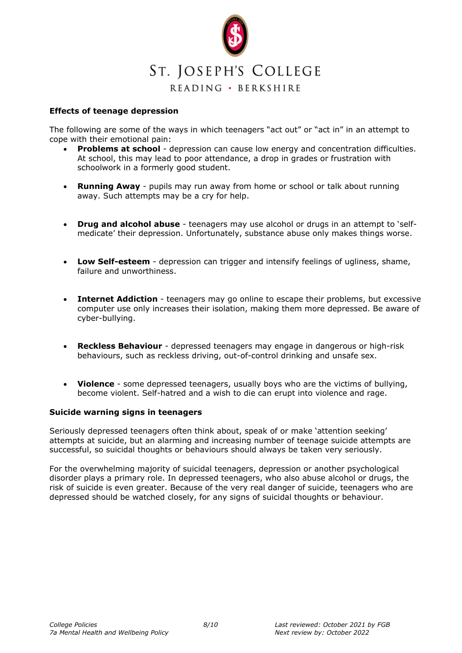

## **Effects of teenage depression**

The following are some of the ways in which teenagers "act out" or "act in" in an attempt to cope with their emotional pain:

- **Problems at school** depression can cause low energy and concentration difficulties. At school, this may lead to poor attendance, a drop in grades or frustration with schoolwork in a formerly good student.
- **Running Away**  pupils may run away from home or school or talk about running away. Such attempts may be a cry for help.
- **Drug and alcohol abuse**  teenagers may use alcohol or drugs in an attempt to 'selfmedicate' their depression. Unfortunately, substance abuse only makes things worse.
- **Low Self-esteem**  depression can trigger and intensify feelings of ugliness, shame, failure and unworthiness.
- **Internet Addiction**  teenagers may go online to escape their problems, but excessive computer use only increases their isolation, making them more depressed. Be aware of cyber-bullying.
- **Reckless Behaviour**  depressed teenagers may engage in dangerous or high-risk behaviours, such as reckless driving, out-of-control drinking and unsafe sex.
- **Violence**  some depressed teenagers, usually boys who are the victims of bullying, become violent. Self-hatred and a wish to die can erupt into violence and rage.

#### **Suicide warning signs in teenagers**

Seriously depressed teenagers often think about, speak of or make 'attention seeking' attempts at suicide, but an alarming and increasing number of teenage suicide attempts are successful, so suicidal thoughts or behaviours should always be taken very seriously.

For the overwhelming majority of suicidal teenagers, depression or another psychological disorder plays a primary role. In depressed teenagers, who also abuse alcohol or drugs, the risk of suicide is even greater. Because of the very real danger of suicide, teenagers who are depressed should be watched closely, for any signs of suicidal thoughts or behaviour.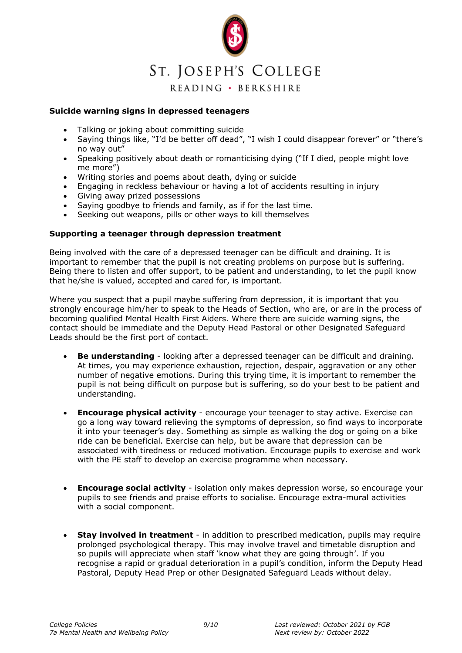

# READING · BERKSHIRE

# **Suicide warning signs in depressed teenagers**

- Talking or joking about committing suicide
- Saying things like, "I'd be better off dead", "I wish I could disappear forever" or "there's no way out"
- Speaking positively about death or romanticising dying ("If I died, people might love me more")
- Writing stories and poems about death, dying or suicide
- Engaging in reckless behaviour or having a lot of accidents resulting in injury
- Giving away prized possessions
- Saying goodbye to friends and family, as if for the last time.
- Seeking out weapons, pills or other ways to kill themselves

# **Supporting a teenager through depression treatment**

Being involved with the care of a depressed teenager can be difficult and draining. It is important to remember that the pupil is not creating problems on purpose but is suffering. Being there to listen and offer support, to be patient and understanding, to let the pupil know that he/she is valued, accepted and cared for, is important.

Where you suspect that a pupil maybe suffering from depression, it is important that you strongly encourage him/her to speak to the Heads of Section, who are, or are in the process of becoming qualified Mental Health First Aiders. Where there are suicide warning signs, the contact should be immediate and the Deputy Head Pastoral or other Designated Safeguard Leads should be the first port of contact.

- **Be understanding**  looking after a depressed teenager can be difficult and draining. At times, you may experience exhaustion, rejection, despair, aggravation or any other number of negative emotions. During this trying time, it is important to remember the pupil is not being difficult on purpose but is suffering, so do your best to be patient and understanding.
- **Encourage physical activity**  encourage your teenager to stay active. Exercise can go a long way toward relieving the symptoms of depression, so find ways to incorporate it into your teenager's day. Something as simple as walking the dog or going on a bike ride can be beneficial. Exercise can help, but be aware that depression can be associated with tiredness or reduced motivation. Encourage pupils to exercise and work with the PE staff to develop an exercise programme when necessary.
- **Encourage social activity**  isolation only makes depression worse, so encourage your pupils to see friends and praise efforts to socialise. Encourage extra-mural activities with a social component.
- **Stay involved in treatment**  in addition to prescribed medication, pupils may require prolonged psychological therapy. This may involve travel and timetable disruption and so pupils will appreciate when staff 'know what they are going through'. If you recognise a rapid or gradual deterioration in a pupil's condition, inform the Deputy Head Pastoral, Deputy Head Prep or other Designated Safeguard Leads without delay.